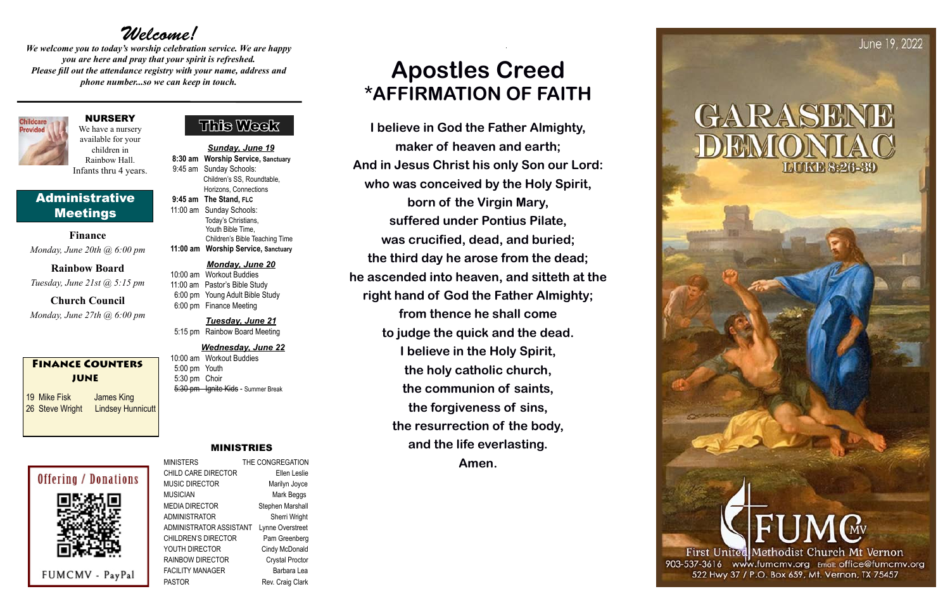### This Week

#### MINISTRIES

MINISTERS THE CONGREGATION CHILD CARE DIRECTOR Ellen Leslie MUSIC DIRECTOR Marilyn Joyce MUSICIAN Mark Beggs MEDIA DIRECTOR Stephen Marshall ADMINISTRATOR Sherri Wright ADMINISTRATOR ASSISTANT Lynne Overstreet CHILDREN'S DIRECTOR Pam Greenberg YOUTH DIRECTOR Cindy McDonald RAINBOW DIRECTOR Crystal Proctor FACILITY MANAGER Barbara Lea PASTOR Rev. Craig Clark

# *Welcome!*

*We welcome you to today's worship celebration service. We are happy you are here and pray that your spirit is refreshed. Please fill out the attendance registry with your name, address and phone number...so we can keep in touch.*

> 10:00 am Workout Buddies 5:00 pm Youth 5:30 pm Choir 5:30 pm Ignite Kids - Summer Break

*Sunday, June 19*  **8:30 am Worship Service, Sanctuary** 9:45 am Sunday Schools: Children's SS, Roundtable, Horizons, Connections **9:45 am The Stand, FLC** 11:00 am Sunday Schools: Today's Christians,

 Youth Bible Time, Children's Bible Teaching Time **11:00 am Worship Service, Sanctuary**

#### *Monday, June 20*

10:00 am Workout Buddies 11:00 am Pastor's Bible Study 6:00 pm Young Adult Bible Study 6:00 pm Finance Meeting

*Tuesday, June 21* 5:15 pm Rainbow Board Meeting

#### *Wednesday, June 22*

#### NURSERY

We have a nursery available for your children in Rainbow Hall. Infants thru 4 years.

#### Administrative Meetings

**Finance** *Monday, June 20th @ 6:00 pm*

**Rainbow Board** *Tuesday, June 21st @ 5:15 pm*

**Church Council** *Monday, June 27th @ 6:00 pm*

#### Finance Counters JUNE

19 Mike Fisk James King 26 Steve Wright Lindsey Hunnicutt

# **Offering / Donations**

FUMCMV - PayPal

# **Apostles Creed \*AFFIRMATION OF FAITH**

**I believe in God the Father Almighty, maker of heaven and earth; And in Jesus Christ his only Son our Lord: who was conceived by the Holy Spirit, born of the Virgin Mary, suffered under Pontius Pilate, was crucified, dead, and buried; the third day he arose from the dead; he ascended into heaven, and sitteth at the right hand of God the Father Almighty; from thence he shall come to judge the quick and the dead. I believe in the Holy Spirit, the holy catholic church, the communion of saints, the forgiveness of sins, the resurrection of the body, and the life everlasting. Amen.**

GARASE

June 19, 2022

First United Methodist Church Mt Vernon

903-537-3616 www.fumcmv.org Email: office@fumcmv.org 522 Hwy 37 / P.O. Box 659, Mt. Vernon, TX 75457